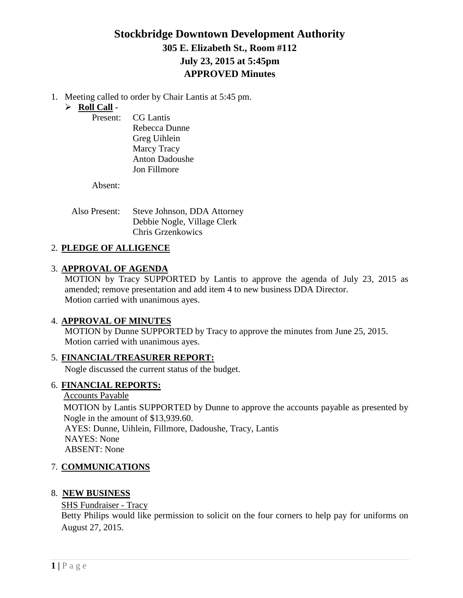# **Stockbridge Downtown Development Authority 305 E. Elizabeth St., Room #112 July 23, 2015 at 5:45pm APPROVED Minutes**

1. Meeting called to order by Chair Lantis at 5:45 pm.

## **Roll Call** -

Present: CG Lantis Rebecca Dunne Greg Uihlein Marcy Tracy Anton Dadoushe Jon Fillmore

Absent:

Also Present: Steve Johnson, DDA Attorney Debbie Nogle, Village Clerk Chris Grzenkowics

## 2. **PLEDGE OF ALLIGENCE**

## 3. **APPROVAL OF AGENDA**

MOTION by Tracy SUPPORTED by Lantis to approve the agenda of July 23, 2015 as amended; remove presentation and add item 4 to new business DDA Director. Motion carried with unanimous ayes.

## 4. **APPROVAL OF MINUTES**

MOTION by Dunne SUPPORTED by Tracy to approve the minutes from June 25, 2015. Motion carried with unanimous ayes.

## 5. **FINANCIAL/TREASURER REPORT:**

Nogle discussed the current status of the budget.

## 6. **FINANCIAL REPORTS:**

### Accounts Payable

MOTION by Lantis SUPPORTED by Dunne to approve the accounts payable as presented by Nogle in the amount of \$13,939.60. AYES: Dunne, Uihlein, Fillmore, Dadoushe, Tracy, Lantis NAYES: None ABSENT: None

## 7. **COMMUNICATIONS**

## 8. **NEW BUSINESS**

## SHS Fundraiser - Tracy

Betty Philips would like permission to solicit on the four corners to help pay for uniforms on August 27, 2015.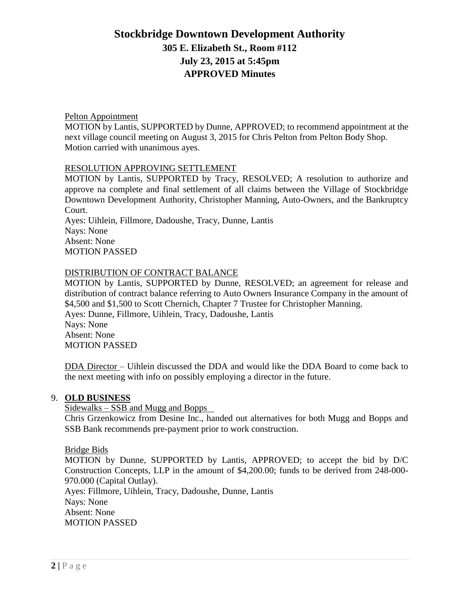# **Stockbridge Downtown Development Authority 305 E. Elizabeth St., Room #112 July 23, 2015 at 5:45pm APPROVED Minutes**

### Pelton Appointment

MOTION by Lantis, SUPPORTED by Dunne, APPROVED; to recommend appointment at the next village council meeting on August 3, 2015 for Chris Pelton from Pelton Body Shop. Motion carried with unanimous ayes.

### RESOLUTION APPROVING SETTLEMENT

MOTION by Lantis, SUPPORTED by Tracy, RESOLVED; A resolution to authorize and approve na complete and final settlement of all claims between the Village of Stockbridge Downtown Development Authority, Christopher Manning, Auto-Owners, and the Bankruptcy Court.

Ayes: Uihlein, Fillmore, Dadoushe, Tracy, Dunne, Lantis Nays: None Absent: None MOTION PASSED

### DISTRIBUTION OF CONTRACT BALANCE

MOTION by Lantis, SUPPORTED by Dunne, RESOLVED; an agreement for release and distribution of contract balance referring to Auto Owners Insurance Company in the amount of \$4,500 and \$1,500 to Scott Chernich, Chapter 7 Trustee for Christopher Manning. Ayes: Dunne, Fillmore, Uihlein, Tracy, Dadoushe, Lantis Nays: None Absent: None MOTION PASSED

DDA Director – Uihlein discussed the DDA and would like the DDA Board to come back to the next meeting with info on possibly employing a director in the future.

#### 9. **OLD BUSINESS**

#### Sidewalks – SSB and Mugg and Bopps

 Chris Grzenkowicz from Desine Inc., handed out alternatives for both Mugg and Bopps and SSB Bank recommends pre-payment prior to work construction.

#### Bridge Bids

MOTION by Dunne, SUPPORTED by Lantis, APPROVED; to accept the bid by D/C Construction Concepts, LLP in the amount of \$4,200.00; funds to be derived from 248-000- 970.000 (Capital Outlay).

Ayes: Fillmore, Uihlein, Tracy, Dadoushe, Dunne, Lantis Nays: None Absent: None MOTION PASSED